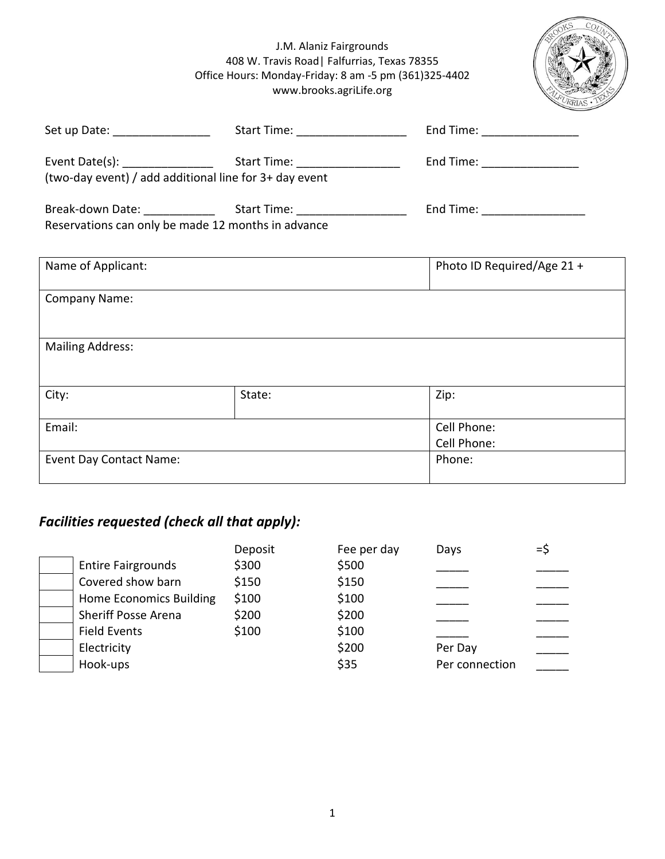#### J.M. Alaniz Fairgrounds 408 W. Travis Road| Falfurrias, Texas 78355 Office Hours: Monday-Friday: 8 am -5 pm (361)325-4402 www.brooks.agriLife.org

| KS | $Co_{U}$ |
|----|----------|
|    | FURRIAS  |

|                                                        |        | End Time: __________________   |  |
|--------------------------------------------------------|--------|--------------------------------|--|
|                                                        |        | End Time: _________________    |  |
| (two-day event) / add additional line for 3+ day event |        |                                |  |
|                                                        |        | End Time: ____________________ |  |
| Reservations can only be made 12 months in advance     |        |                                |  |
| Name of Applicant:                                     |        | Photo ID Required/Age 21 +     |  |
| <b>Company Name:</b>                                   |        |                                |  |
| <b>Mailing Address:</b>                                |        |                                |  |
| City:                                                  | State: | Zip:                           |  |
| Email:                                                 |        | Cell Phone:<br>Cell Phone:     |  |
| <b>Event Day Contact Name:</b>                         |        | Phone:                         |  |

## *Facilities requested (check all that apply):*

|                                | Deposit | Fee per day | Days           | =\$ |
|--------------------------------|---------|-------------|----------------|-----|
| <b>Entire Fairgrounds</b>      | \$300   | \$500       |                |     |
| Covered show barn              | \$150   | \$150       |                |     |
| <b>Home Economics Building</b> | \$100   | \$100       |                |     |
| <b>Sheriff Posse Arena</b>     | \$200   | \$200       |                |     |
| <b>Field Events</b>            | \$100   | \$100       |                |     |
| Electricity                    |         | \$200       | Per Day        |     |
| Hook-ups                       |         | \$35        | Per connection |     |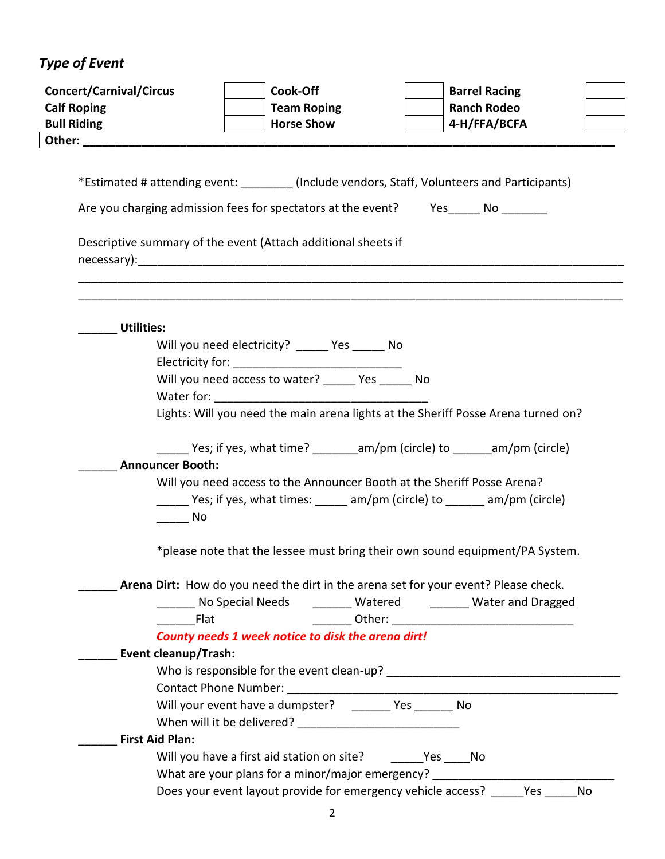# *Type of Event*

| <b>Concert/Carnival/Circus</b><br><b>Calf Roping</b>                                        | Cook-Off<br><b>Team Roping</b><br><b>Horse Show</b>                                                                                                                                                                                                                                 | <b>Barrel Racing</b><br><b>Ranch Rodeo</b><br>4-H/FFA/BCFA                          |
|---------------------------------------------------------------------------------------------|-------------------------------------------------------------------------------------------------------------------------------------------------------------------------------------------------------------------------------------------------------------------------------------|-------------------------------------------------------------------------------------|
| <b>Bull Riding</b><br>Other:                                                                |                                                                                                                                                                                                                                                                                     |                                                                                     |
|                                                                                             |                                                                                                                                                                                                                                                                                     |                                                                                     |
| *Estimated # attending event: ________(Include vendors, Staff, Volunteers and Participants) |                                                                                                                                                                                                                                                                                     |                                                                                     |
| Are you charging admission fees for spectators at the event? Yes ______ No _______          |                                                                                                                                                                                                                                                                                     |                                                                                     |
| Descriptive summary of the event (Attach additional sheets if                               |                                                                                                                                                                                                                                                                                     |                                                                                     |
| <b>Utilities:</b>                                                                           |                                                                                                                                                                                                                                                                                     |                                                                                     |
|                                                                                             | Will you need electricity? ______ Yes ______ No                                                                                                                                                                                                                                     |                                                                                     |
|                                                                                             |                                                                                                                                                                                                                                                                                     |                                                                                     |
|                                                                                             | Will you need access to water? _____ Yes _____ No<br>Water for: The Communication of the Communication of the Communication of the Communication of the Communication of the Communication of the Communication of the Communication of the Communication of the Communication of t |                                                                                     |
|                                                                                             |                                                                                                                                                                                                                                                                                     | Lights: Will you need the main arena lights at the Sheriff Posse Arena turned on?   |
|                                                                                             |                                                                                                                                                                                                                                                                                     |                                                                                     |
|                                                                                             |                                                                                                                                                                                                                                                                                     | ________ Yes; if yes, what time? _________ am/pm (circle) to _______ am/pm (circle) |
| <b>Announcer Booth:</b>                                                                     |                                                                                                                                                                                                                                                                                     |                                                                                     |
|                                                                                             | Will you need access to the Announcer Booth at the Sheriff Posse Arena?                                                                                                                                                                                                             |                                                                                     |
|                                                                                             |                                                                                                                                                                                                                                                                                     | _______ Yes; if yes, what times: ______ am/pm (circle) to _______ am/pm (circle)    |
| $\overline{\phantom{0}}$ No                                                                 |                                                                                                                                                                                                                                                                                     |                                                                                     |
|                                                                                             |                                                                                                                                                                                                                                                                                     | *please note that the lessee must bring their own sound equipment/PA System.        |
|                                                                                             |                                                                                                                                                                                                                                                                                     | Arena Dirt: How do you need the dirt in the arena set for your event? Please check. |
|                                                                                             |                                                                                                                                                                                                                                                                                     | No Special Needs _______ Watered ________ Water and Dragged                         |
| Flat                                                                                        |                                                                                                                                                                                                                                                                                     |                                                                                     |
|                                                                                             | County needs 1 week notice to disk the arena dirt!                                                                                                                                                                                                                                  |                                                                                     |
| <b>Event cleanup/Trash:</b>                                                                 |                                                                                                                                                                                                                                                                                     |                                                                                     |
|                                                                                             |                                                                                                                                                                                                                                                                                     |                                                                                     |
|                                                                                             |                                                                                                                                                                                                                                                                                     |                                                                                     |
|                                                                                             | Will your event have a dumpster? ________ Yes _______ No                                                                                                                                                                                                                            |                                                                                     |
| <b>First Aid Plan:</b>                                                                      |                                                                                                                                                                                                                                                                                     |                                                                                     |
|                                                                                             |                                                                                                                                                                                                                                                                                     |                                                                                     |
|                                                                                             | What are your plans for a minor/major emergency?                                                                                                                                                                                                                                    |                                                                                     |
|                                                                                             | Does your event layout provide for emergency vehicle access?                                                                                                                                                                                                                        | Yes<br>No                                                                           |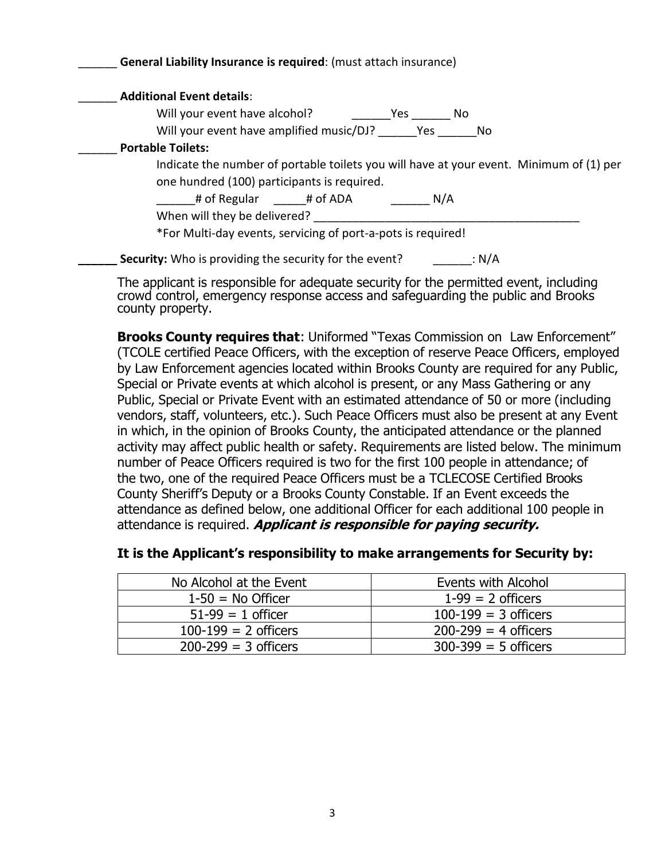| <b>Additional Event details:</b>                                                        |     |     |
|-----------------------------------------------------------------------------------------|-----|-----|
| Will your event have alcohol?                                                           | Yes | No. |
| Will your event have amplified music/DJ? Yes                                            |     | No. |
| <b>Portable Toilets:</b>                                                                |     |     |
| Indicate the number of portable toilets you will have at your event. Minimum of (1) per |     |     |
| one hundred (100) participants is required.                                             |     |     |
| # of Regular # of ADA                                                                   |     | N/A |
| When will they be delivered?                                                            |     |     |
| *For Multi-day events, servicing of port-a-pots is required!                            |     |     |

The applicant is responsible for adequate security for the permitted event, including crowd control, emergency response access and safeguarding the public and Brooks county property.

**Brooks County requires that**: Uniformed "Texas Commission on Law Enforcement" (TCOLE certified Peace Officers, with the exception of reserve Peace Officers, employed by Law Enforcement agencies located within Brooks County are required for any Public, Special or Private events at which alcohol is present, or any Mass Gathering or any Public, Special or Private Event with an estimated attendance of 50 or more (including vendors, staff, volunteers, etc.). Such Peace Officers must also be present at any Event in which, in the opinion of Brooks County, the anticipated attendance or the planned activity may affect public health or safety. Requirements are listed below. The minimum number of Peace Officers required is two for the first 100 people in attendance; of the two, one of the required Peace Officers must be a TCLECOSE Certified Brooks County Sheriff's Deputy or a Brooks County Constable. If an Event exceeds the attendance as defined below, one additional Officer for each additional 100 people in attendance is required. **Applicant is responsible for paying security.**

| No Alcohol at the Event  | Events with Alcohol      |
|--------------------------|--------------------------|
| $1-50 = No$ Officer      | $1-99 = 2$ officers      |
| $51-99 = 1$ officer      | $100-199 = 3$ officers   |
| $100-199 = 2$ officers   | $200 - 299 = 4$ officers |
| $200 - 299 = 3$ officers | $300 - 399 = 5$ officers |

### **It is the Applicant's responsibility to make arrangements for Security by:**